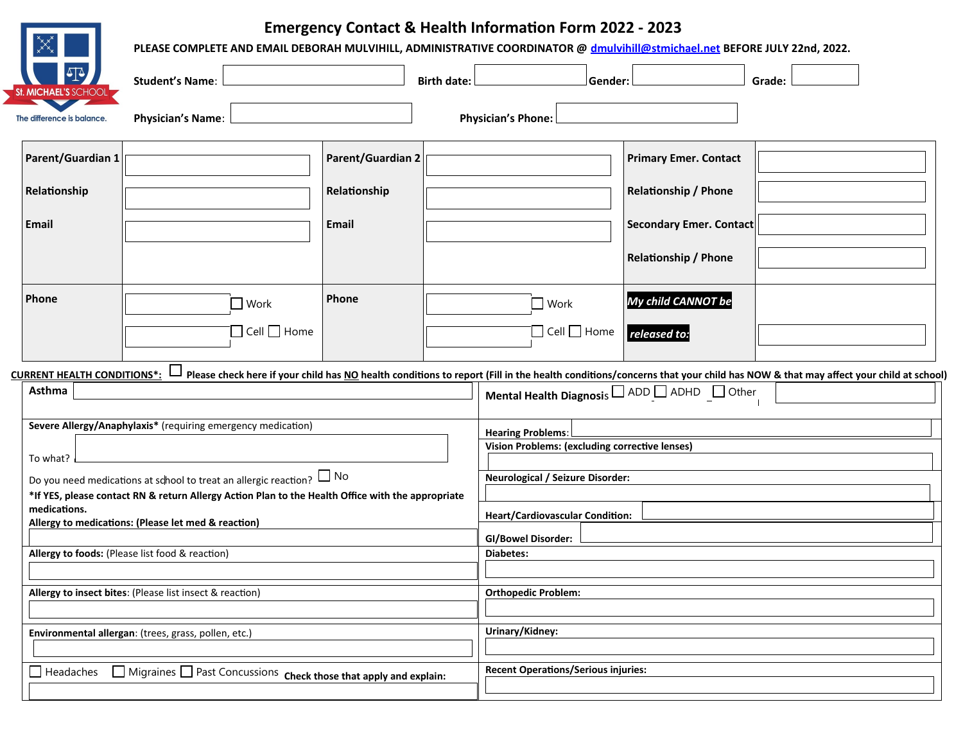

## **Emergency Contact & Health Information Form 2022 - 2023**

|                                                                                                                                                                                                                                                                                                                                    | PLEASE COMPLETE AND EMAIL DEBORAH MULVIHILL, ADMINISTRATIVE COORDINATOR @ dmulvihill@stmichael.net BEFORE JULY 22nd, 2022. |                                                   |                                                                             |                                                                                                                                                                 |                                                                                                                       |                                                                                                                                                                            |  |
|------------------------------------------------------------------------------------------------------------------------------------------------------------------------------------------------------------------------------------------------------------------------------------------------------------------------------------|----------------------------------------------------------------------------------------------------------------------------|---------------------------------------------------|-----------------------------------------------------------------------------|-----------------------------------------------------------------------------------------------------------------------------------------------------------------|-----------------------------------------------------------------------------------------------------------------------|----------------------------------------------------------------------------------------------------------------------------------------------------------------------------|--|
|                                                                                                                                                                                                                                                                                                                                    | <b>Student's Name:</b>                                                                                                     | <b>Birth date:</b>                                |                                                                             | Gender:                                                                                                                                                         |                                                                                                                       | Grade:                                                                                                                                                                     |  |
| The difference is balance.                                                                                                                                                                                                                                                                                                         | <b>Physician's Name:</b>                                                                                                   |                                                   | <b>Physician's Phone:</b>                                                   |                                                                                                                                                                 |                                                                                                                       |                                                                                                                                                                            |  |
| Parent/Guardian 1<br>Relationship<br>Email                                                                                                                                                                                                                                                                                         |                                                                                                                            | <b>Parent/Guardian 2</b><br>Relationship<br>Email |                                                                             |                                                                                                                                                                 | <b>Primary Emer. Contact</b><br><b>Relationship / Phone</b><br>Secondary Emer. Contact<br><b>Relationship / Phone</b> |                                                                                                                                                                            |  |
| Phone<br><b>CURRENT HEALTH CONDITIONS*:</b><br>Asthma                                                                                                                                                                                                                                                                              | $\Box$ Work<br>$\Box$ Cell $\Box$ Home                                                                                     | Phone                                             | $\Box$ Work                                                                 | $\Box$ Cell $\Box$ Home                                                                                                                                         | My child CANNOT be<br>released to:<br>Mental Health Diagnosis I ADD I ADHD I Other                                    | Please check here if your child has NO health conditions to report (Fill in the health conditions/concerns that your child has NOW & that may affect your child at school) |  |
| Severe Allergy/Anaphylaxis* (requiring emergency medication)<br>To what?<br>Do you need medications at school to treat an allergic reaction? $\Box$ No<br>*If YES, please contact RN & return Allergy Action Plan to the Health Office with the appropriate<br>medications.<br>Allergy to medications: (Please let med & reaction) |                                                                                                                            |                                                   |                                                                             | <b>Hearing Problems:</b><br><b>Vision Problems: (excluding corrective lenses)</b><br>Neurological / Seizure Disorder:<br><b>Heart/Cardiovascular Condition:</b> |                                                                                                                       |                                                                                                                                                                            |  |
|                                                                                                                                                                                                                                                                                                                                    | Allergy to foods: (Please list food & reaction)<br>Allergy to insect bites: (Please list insect & reaction)                |                                                   | <b>GI/Bowel Disorder:</b><br><b>Diabetes:</b><br><b>Orthopedic Problem:</b> |                                                                                                                                                                 |                                                                                                                       |                                                                                                                                                                            |  |
|                                                                                                                                                                                                                                                                                                                                    | Environmental allergan: (trees, grass, pollen, etc.)                                                                       |                                                   | Urinary/Kidney:                                                             |                                                                                                                                                                 |                                                                                                                       |                                                                                                                                                                            |  |
| $\Box$ Headaches                                                                                                                                                                                                                                                                                                                   | Migraines Past Concussions Check those that apply and explain:                                                             |                                                   | <b>Recent Operations/Serious injuries:</b>                                  |                                                                                                                                                                 |                                                                                                                       |                                                                                                                                                                            |  |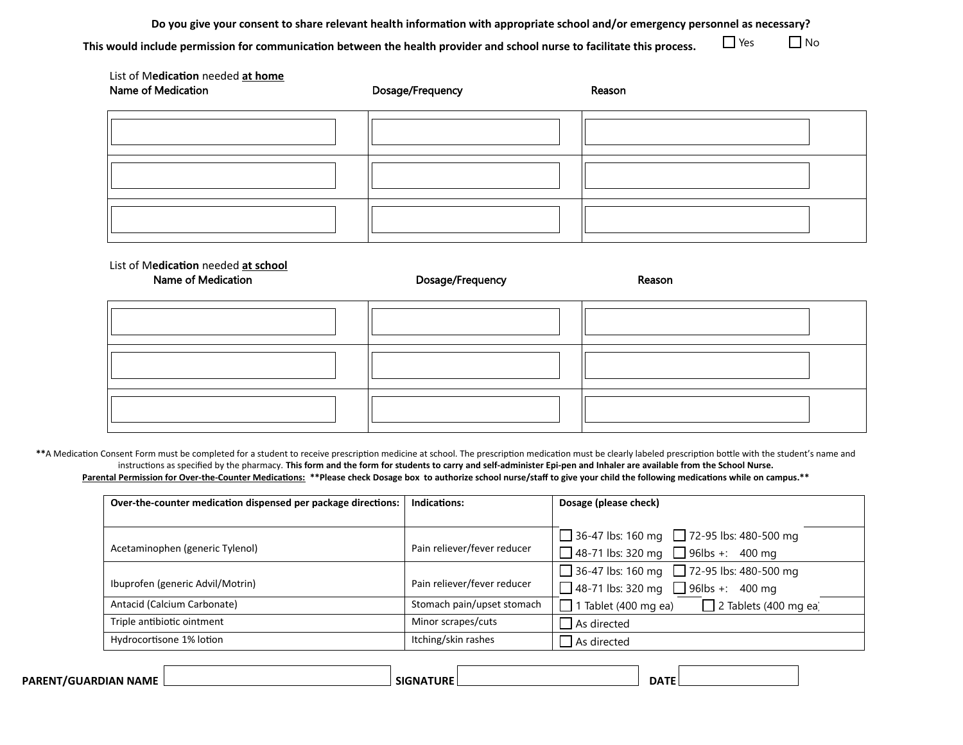**Do you give your consent to share relevant health information with appropriate school and/or emergency personnel as necessary? This would include permission for communication between the health provider and school nurse to facilitate this process.**   $\Box$  Yes  $\Box$  No

| List of Medication needed at home<br>Name of Medication | Dosage/Frequency | Reason |
|---------------------------------------------------------|------------------|--------|
|                                                         |                  |        |
|                                                         |                  |        |
|                                                         |                  |        |

List of M**edication** needed **at school**

Name of Medication **Name of Medication Dosage/Frequency Reason** 

\*\*A Medication Consent Form must be completed for a student to receive prescription medicine at school. The prescription medication must be clearly labeled prescription bottle with the student's name and instructions as specified by the pharmacy. **This form and the form for students to carry and self-administer Epi-pen and Inhaler are available from the School Nurse.** Parental Permission for Over-the-Counter Medications: \*\*Please check Dosage box to authorize school nurse/staff to give your child the following medications while on campus.\*\*

| Over-the-counter medication dispensed per package directions: | Indications:                | Dosage (please check)                                       |  |
|---------------------------------------------------------------|-----------------------------|-------------------------------------------------------------|--|
|                                                               |                             |                                                             |  |
|                                                               |                             | 36-47 lbs: 160 mg $\Box$ 72-95 lbs: 480-500 mg              |  |
| Acetaminophen (generic Tylenol)                               | Pain reliever/fever reducer | 48-71 lbs: 320 mg $\Box$ 96lbs +: 400 mg                    |  |
|                                                               |                             | 36-47 lbs: 160 mg $\Box$ 72-95 lbs: 480-500 mg              |  |
| Ibuprofen (generic Advil/Motrin)                              | Pain reliever/fever reducer | 48-71 lbs: 320 mg $\Box$ 96lbs +: 400 mg                    |  |
| Antacid (Calcium Carbonate)                                   | Stomach pain/upset stomach  | $\Box$ 1 Tablet (400 mg ea)<br>$\Box$ 2 Tablets (400 mg ea) |  |
| Triple antibiotic ointment                                    | Minor scrapes/cuts          | $\Box$ As directed                                          |  |
| Hydrocortisone 1% lotion                                      | Itching/skin rashes         | As directed                                                 |  |

| <b>PAREN</b><br><b>J NAMF</b><br>761 I A K<br>אמוני " | SIGNAT | 'URI | <b>DATF</b> |
|-------------------------------------------------------|--------|------|-------------|